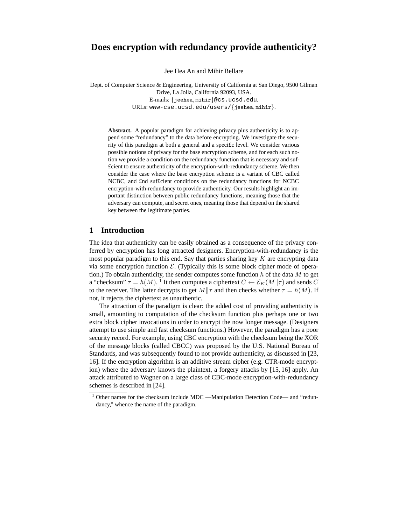# **Does encryption with redundancy provide authenticity?**

Jee Hea An and Mihir Bellare

Dept. of Computer Science & Engineering, University of California at San Diego, 9500 Gilman Drive, La Jolla, California 92093, USA. E-mails: {jeehea, mihir}@cs.ucsd.edu. URLs: www-cse.ucsd.edu/users/{jeehea, mihir}.

**Abstract.** A popular paradigm for achieving privacy plus authenticity is to append some "redundancy" to the data before encrypting. We investigate the security of this paradigm at both a general and a speci£c level. We consider various possible notions of privacy for the base encryption scheme, and for each such notion we provide a condition on the redundancy function that is necessary and suf- £cient to ensure authenticity of the encryption-with-redundancy scheme. We then consider the case where the base encryption scheme is a variant of CBC called NCBC, and £nd suf£cient conditions on the redundancy functions for NCBC encryption-with-redundancy to provide authenticity. Our results highlight an important distinction between public redundancy functions, meaning those that the adversary can compute, and secret ones, meaning those that depend on the shared key between the legitimate parties.

### **1 Introduction**

The idea that authenticity can be easily obtained as a consequence of the privacy conferred by encryption has long attracted designers. Encryption-with-redundancy is the most popular paradigm to this end. Say that parties sharing key  $K$  are encrypting data via some encryption function  $\mathcal{E}$ . (Typically this is some block cipher mode of operation.) To obtain authenticity, the sender computes some function h of the data M to get a "checksum"  $\tau = h(M)$ . <sup>1</sup> It then computes a ciphertext  $C \leftarrow \mathcal{E}_K(M||\tau)$  and sends C to the receiver. The latter decrypts to get  $M||\tau$  and then checks whether  $\tau = h(M)$ . If not, it rejects the ciphertext as unauthentic.

The attraction of the paradigm is clear: the added cost of providing authenticity is small, amounting to computation of the checksum function plus perhaps one or two extra block cipher invocations in order to encrypt the now longer message. (Designers attempt to use simple and fast checksum functions.) However, the paradigm has a poor security record. For example, using CBC encryption with the checksum being the XOR of the message blocks (called CBCC) was proposed by the U.S. National Bureau of Standards, and was subsequently found to not provide authenticity, as discussed in [23, 16]. If the encryption algorithm is an additive stream cipher (e.g. CTR-mode encryption) where the adversary knows the plaintext, a forgery attacks by [15, 16] apply. An attack attributed to Wagner on a large class of CBC-mode encryption-with-redundancy schemes is described in [24].

<sup>&</sup>lt;sup>1</sup> Other names for the checksum include MDC —Manipulation Detection Code— and "redundancy," whence the name of the paradigm.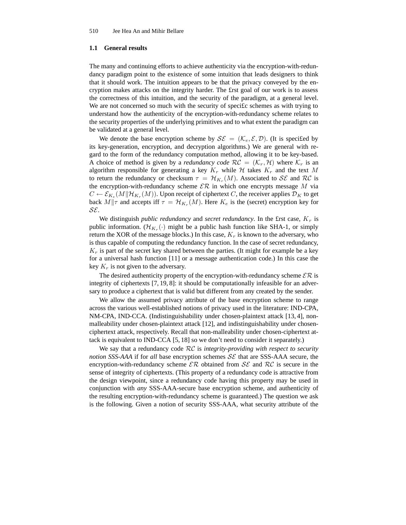#### **1.1 General results**

The many and continuing efforts to achieve authenticity via the encryption-with-redundancy paradigm point to the existence of some intuition that leads designers to think that it should work. The intuition appears to be that the privacy conveyed by the encryption makes attacks on the integrity harder. The £rst goal of our work is to assess the correctness of this intuition, and the security of the paradigm, at a general level. We are not concerned so much with the security of specific schemes as with trying to understand how the authenticity of the encryption-with-redundancy scheme relates to the security properties of the underlying primitives and to what extent the paradigm can be validated at a general level.

We denote the base encryption scheme by  $\mathcal{SE} = (\mathcal{K}_e, \mathcal{E}, \mathcal{D})$ . (It is specified by its key-generation, encryption, and decryption algorithms.) We are general with regard to the form of the redundancy computation method, allowing it to be key-based. A choice of method is given by a *redundancy code*  $\mathcal{RC} = (\mathcal{K}_r, \mathcal{H})$  where  $\mathcal{K}_r$  is an algorithm responsible for generating a key  $K_r$  while  $H$  takes  $K_r$  and the text M to return the redundancy or checksum  $\tau = \mathcal{H}_{K_r}(M)$ . Associated to  $\mathcal{SE}$  and  $\mathcal{RC}$  is the encryption-with-redundancy scheme  $\mathcal{ER}$  in which one encrypts message M via  $C \leftarrow \mathcal{E}_{K_e}(M||\mathcal{H}_{K_r}(M))$ . Upon receipt of ciphertext C, the receiver applies  $\mathcal{D}_K$  to get back  $M||\tau$  and accepts iff  $\tau = \mathcal{H}_{K_r}(M)$ . Here  $K_e$  is the (secret) encryption key for SE.

We distinguish *public redundancy* and *secret redundancy*. In the £rst case,  $K_r$  is public information.  $(\mathcal{H}_{K_r}(\cdot))$  might be a public hash function like SHA-1, or simply return the XOR of the message blocks.) In this case,  $K_r$  is known to the adversary, who is thus capable of computing the redundancy function. In the case of secret redundancy,  $K_r$  is part of the secret key shared between the parties. (It might for example be a key for a universal hash function [11] or a message authentication code.) In this case the key  $K_r$  is not given to the adversary.

The desired authenticity property of the encryption-with-redundancy scheme  $\mathcal{ER}$  is integrity of ciphertexts [7, 19, 8]: it should be computationally infeasible for an adversary to produce a ciphertext that is valid but different from any created by the sender.

We allow the assumed privacy attribute of the base encryption scheme to range across the various well-established notions of privacy used in the literature: IND-CPA, NM-CPA, IND-CCA. (Indistinguishability under chosen-plaintext attack [13, 4], nonmalleability under chosen-plaintext attack [12], and indistinguishability under chosenciphertext attack, respectively. Recall that non-malleability under chosen-ciphertext attack is equivalent to IND-CCA [5, 18] so we don't need to consider it separately.)

We say that a redundancy code RC is *integrity-providing with respect to security notion SSS-AAA* if for *all* base encryption schemes  $\mathcal{SE}$  that are SSS-AAA secure, the encryption-with-redundancy scheme  $\mathcal{ER}$  obtained from  $\mathcal{SE}$  and  $\mathcal{RC}$  is secure in the sense of integrity of ciphertexts. (This property of a redundancy code is attractive from the design viewpoint, since a redundancy code having this property may be used in conjunction with *any* SSS-AAA-secure base encryption scheme, and authenticity of the resulting encryption-with-redundancy scheme is guaranteed.) The question we ask is the following. Given a notion of security SSS-AAA, what security attribute of the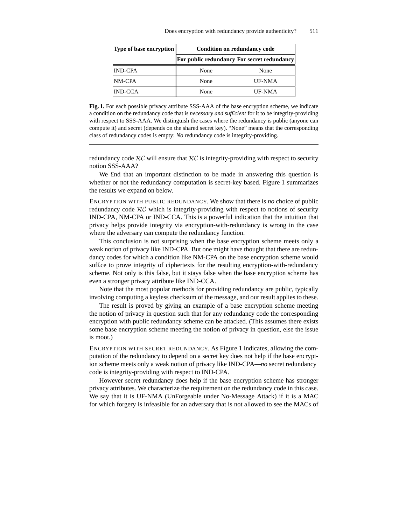| <b>Type of base encryption</b> | <b>Condition on redundancy code</b>                |        |
|--------------------------------|----------------------------------------------------|--------|
|                                | <b>For public redundancy For secret redundancy</b> |        |
| <b>IND-CPA</b>                 | None                                               | None   |
| NM-CPA                         | None                                               | UF-NMA |
| <b>IND-CCA</b>                 | None                                               | UF-NMA |

**Fig. 1.** For each possible privacy attribute SSS-AAA of the base encryption scheme, we indicate a condition on the redundancy code that is *necessary and suf£cient* for it to be integrity-providing with respect to SSS-AAA. We distinguish the cases where the redundancy is public (anyone can compute it) and secret (depends on the shared secret key). "None" means that the corresponding class of redundancy codes is empty: *No* redundancy code is integrity-providing.

redundancy code  $RC$  will ensure that  $RC$  is integrity-providing with respect to security notion SSS-AAA?

We £nd that an important distinction to be made in answering this question is whether or not the redundancy computation is secret-key based. Figure 1 summarizes the results we expand on below.

ENCRYPTION WITH PUBLIC REDUNDANCY. We show that there is *no* choice of public redundancy code RC which is integrity-providing with respect to notions of security IND-CPA, NM-CPA or IND-CCA. This is a powerful indication that the intuition that privacy helps provide integrity via encryption-with-redundancy is wrong in the case where the adversary can compute the redundancy function.

This conclusion is not surprising when the base encryption scheme meets only a weak notion of privacy like IND-CPA. But one might have thought that there are redundancy codes for which a condition like NM-CPA on the base encryption scheme would suf£ce to prove integrity of ciphertexts for the resulting encryption-with-redundancy scheme. Not only is this false, but it stays false when the base encryption scheme has even a stronger privacy attribute like IND-CCA.

Note that the most popular methods for providing redundancy are public, typically involving computing a keyless checksum of the message, and our result applies to these.

The result is proved by giving an example of a base encryption scheme meeting the notion of privacy in question such that for any redundancy code the corresponding encryption with public redundancy scheme can be attacked. (This assumes there exists some base encryption scheme meeting the notion of privacy in question, else the issue is moot.)

ENCRYPTION WITH SECRET REDUNDANCY. As Figure 1 indicates, allowing the computation of the redundancy to depend on a secret key does not help if the base encryption scheme meets only a weak notion of privacy like IND-CPA—no secret redundancy code is integrity-providing with respect to IND-CPA.

However secret redundancy does help if the base encryption scheme has stronger privacy attributes. We characterize the requirement on the redundancy code in this case. We say that it is UF-NMA (UnForgeable under No-Message Attack) if it is a MAC for which forgery is infeasible for an adversary that is not allowed to see the MACs of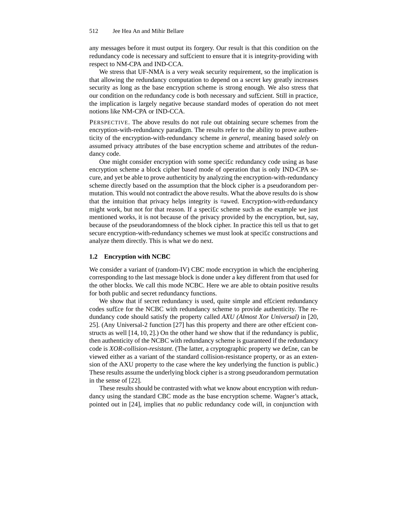any messages before it must output its forgery. Our result is that this condition on the redundancy code is necessary and suf£cient to ensure that it is integrity-providing with respect to NM-CPA and IND-CCA.

We stress that UF-NMA is a very weak security requirement, so the implication is that allowing the redundancy computation to depend on a secret key greatly increases security as long as the base encryption scheme is strong enough. We also stress that our condition on the redundancy code is both necessary and suf£cient. Still in practice, the implication is largely negative because standard modes of operation do not meet notions like NM-CPA or IND-CCA.

PERSPECTIVE. The above results do not rule out obtaining secure schemes from the encryption-with-redundancy paradigm. The results refer to the ability to prove authenticity of the encryption-with-redundancy scheme *in general*, meaning based *solely* on assumed privacy attributes of the base encryption scheme and attributes of the redundancy code.

One might consider encryption with some speci£c redundancy code using as base encryption scheme a block cipher based mode of operation that is only IND-CPA secure, and yet be able to prove authenticity by analyzing the encryption-with-redundancy scheme directly based on the assumption that the block cipher is a pseudorandom permutation. This would not contradict the above results. What the above results do is show that the intuition that privacy helps integrity is  $a$  awed. Encryption-with-redundancy might work, but not for that reason. If a specific scheme such as the example we just mentioned works, it is not because of the privacy provided by the encryption, but, say, because of the pseudorandomness of the block cipher. In practice this tell us that to get secure encryption-with-redundancy schemes we must look at speci£c constructions and analyze them directly. This is what we do next.

### **1.2 Encryption with NCBC**

We consider a variant of (random-IV) CBC mode encryption in which the enciphering corresponding to the last message block is done under a key different from that used for the other blocks. We call this mode NCBC. Here we are able to obtain positive results for both public and secret redundancy functions.

We show that if secret redundancy is used, quite simple and efficient redundancy codes suf£ce for the NCBC with redundancy scheme to provide authenticity. The redundancy code should satisfy the property called *AXU (Almost Xor Universal)* in [20, 25]. (Any Universal-2 function [27] has this property and there are other ef£cient constructs as well [14, 10, 2].) On the other hand we show that if the redundancy is public, then authenticity of the NCBC with redundancy scheme is guaranteed if the redundancy code is *XOR-collision-resistant*. (The latter, a cryptographic property we de£ne, can be viewed either as a variant of the standard collision-resistance property, or as an extension of the AXU property to the case where the key underlying the function is public.) These results assume the underlying block cipher is a strong pseudorandom permutation in the sense of [22].

These results should be contrasted with what we know about encryption with redundancy using the standard CBC mode as the base encryption scheme. Wagner's attack, pointed out in [24], implies that *no* public redundancy code will, in conjunction with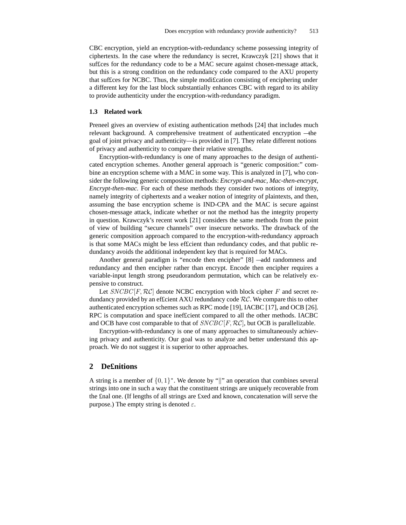CBC encryption, yield an encryption-with-redundancy scheme possessing integrity of ciphertexts. In the case where the redundancy is secret, Krawczyk [21] shows that it suf£ces for the redundancy code to be a MAC secure against chosen-message attack, but this is a strong condition on the redundancy code compared to the AXU property that suf£ces for NCBC. Thus, the simple modi£cation consisting of enciphering under a different key for the last block substantially enhances CBC with regard to its ability to provide authenticity under the encryption-with-redundancy paradigm.

#### **1.3 Related work**

Preneel gives an overview of existing authentication methods [24] that includes much relevant background. A comprehensive treatment of authenticated encryption —the goal of joint privacy and authenticity— is provided in [7]. They relate different notions of privacy and authenticity to compare their relative strengths.

Encryption-with-redundancy is one of many approaches to the design of authenticated encryption schemes. Another general approach is "generic composition:" combine an encryption scheme with a MAC in some way. This is analyzed in [7], who consider the following generic composition methods: *Encrypt-and-mac, Mac-then-encrypt, Encrypt-then-mac.* For each of these methods they consider two notions of integrity, namely integrity of ciphertexts and a weaker notion of integrity of plaintexts, and then, assuming the base encryption scheme is IND-CPA and the MAC is secure against chosen-message attack, indicate whether or not the method has the integrity property in question. Krawczyk's recent work [21] considers the same methods from the point of view of building "secure channels" over insecure networks. The drawback of the generic composition approach compared to the encryption-with-redundancy approach is that some MACs might be less ef£cient than redundancy codes, and that public redundancy avoids the additional independent key that is required for MACs.

Another general paradigm is "encode then encipher" [8] —add randomness and redundancy and then encipher rather than encrypt. Encode then encipher requires a variable-input length strong pseudorandom permutation, which can be relatively expensive to construct.

Let  $SNCBC[F, RC]$  denote NCBC encryption with block cipher F and secret redundancy provided by an efficient AXU redundancy code  $RC$ . We compare this to other authenticated encryption schemes such as RPC mode [19], IACBC [17], and OCB [26]. RPC is computation and space inef£cient compared to all the other methods. IACBC and OCB have cost comparable to that of  $SNCBC[F, RC]$ , but OCB is parallelizable.

Encryption-with-redundancy is one of many approaches to simultaneously achieving privacy and authenticity. Our goal was to analyze and better understand this approach. We do not suggest it is superior to other approaches.

### **2 De£nitions**

A string is a member of  $\{0,1\}^*$ . We denote by "||" an operation that combines several strings into one in such a way that the constituent strings are uniquely recoverable from the £nal one. (If lengths of all strings are £xed and known, concatenation will serve the purpose.) The empty string is denoted  $\varepsilon$ .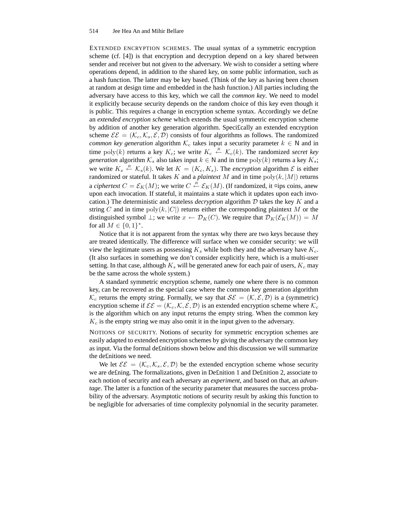EXTENDED ENCRYPTION SCHEMES. The usual syntax of a symmetric encryption scheme (cf. [4]) is that encryption and decryption depend on a key shared between sender and receiver but not given to the adversary. We wish to consider a setting where operations depend, in addition to the shared key, on some public information, such as a hash function. The latter may be key based. (Think of the key as having been chosen at random at design time and embedded in the hash function.) All parties including the adversary have access to this key, which we call the *common key*. We need to model it explicitly because security depends on the random choice of this key even though it is public. This requires a change in encryption scheme syntax. Accordingly we de£ne an *extended encryption scheme* which extends the usual symmetric encryption scheme by addition of another key generation algorithm. Speci£cally an extended encryption scheme  $\mathcal{E}\mathcal{E} = (\mathcal{K}_c, \mathcal{K}_s, \mathcal{E}, \mathcal{D})$  consists of four algorithms as follows. The randomized *common key generation* algorithm  $K_c$  takes input a security parameter  $k \in N$  and in time poly(k) returns a key  $K_c$ ; we write  $K_c \stackrel{R}{\leftarrow} \mathcal{K}_c(k)$ . The randomized *secret* key *generation* algorithm  $K_s$  also takes input  $k \in \mathbb{N}$  and in time  $\text{poly}(k)$  returns a key  $K_s$ ; we write  $K_s \stackrel{R}{\leftarrow} \mathcal{K}_s(k)$ . We let  $K = (K_c, K_s)$ . The *encryption* algorithm  $\mathcal E$  is either randomized or stateful. It takes  $K$  and a *plaintext*  $M$  and in time  $poly(k, |M|)$  returns a *ciphertext*  $C = \mathcal{E}_K(M)$ ; we write  $C \stackrel{R}{\leftarrow} \mathcal{E}_K(M)$ . (If randomized, it ¤ips coins, anew upon each invocation. If stateful, it maintains a state which it updates upon each invocation.) The deterministic and stateless *decryption* algorithm D takes the key K and a string C and in time  $poly(k, |C|)$  returns either the corresponding plaintext M or the distinguished symbol  $\bot$ ; we write  $x \leftarrow \mathcal{D}_K(C)$ . We require that  $\mathcal{D}_K(\mathcal{E}_K(M)) = M$ for all  $M \in \{0, 1\}^*$ .

Notice that it is not apparent from the syntax why there are two keys because they are treated identically. The difference will surface when we consider security: we will view the legitimate users as possessing  $K_s$  while both they and the adversary have  $K_c$ . (It also surfaces in something we don't consider explicitly here, which is a multi-user setting. In that case, although  $K_s$  will be generated anew for each pair of users,  $K_c$  may be the same across the whole system.)

A standard symmetric encryption scheme, namely one where there is no common key, can be recovered as the special case where the common key generation algorithm  $\mathcal{K}_c$  returns the empty string. Formally, we say that  $\mathcal{S}\mathcal{E} = (\mathcal{K}, \mathcal{E}, \mathcal{D})$  is a (symmetric) encryption scheme if  $\mathcal{E}\mathcal{E} = (\mathcal{K}_c, \mathcal{K}, \mathcal{E}, \mathcal{D})$  is an extended encryption scheme where  $\mathcal{K}_c$ is the algorithm which on any input returns the empty string. When the common key  $K_c$  is the empty string we may also omit it in the input given to the adversary.

NOTIONS OF SECURITY. Notions of security for symmetric encryption schemes are easily adapted to extended encryption schemes by giving the adversary the common key as input. Via the formal de£nitions shown below and this discussion we will summarize the de£nitions we need.

We let  $\mathcal{E}\mathcal{E} = (\mathcal{K}_c, \mathcal{K}_s, \mathcal{E}, \mathcal{D})$  be the extended encryption scheme whose security we are de£ning. The formalizations, given in De£nition 1 and De£nition 2, associate to each notion of security and each adversary an *experiment*, and based on that, an *advantage*. The latter is a function of the security parameter that measures the success probability of the adversary. Asymptotic notions of security result by asking this function to be negligible for adversaries of time complexity polynomial in the security parameter.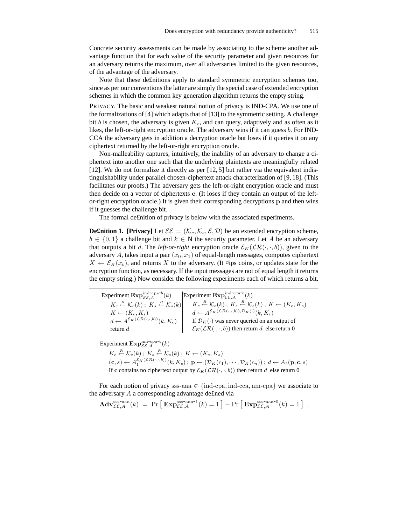Concrete security assessments can be made by associating to the scheme another advantage function that for each value of the security parameter and given resources for an adversary returns the maximum, over all adversaries limited to the given resources, of the advantage of the adversary.

Note that these de£nitions apply to standard symmetric encryption schemes too, since as per our conventions the latter are simply the special case of extended encryption schemes in which the common key generation algorithm returns the empty string.

PRIVACY. The basic and weakest natural notion of privacy is IND-CPA. We use one of the formalizations of [4] which adapts that of [13] to the symmetric setting. A challenge bit b is chosen, the adversary is given  $K_c$ , and can query, adaptively and as often as it likes, the left-or-right encryption oracle. The adversary wins if it can guess b. For IND-CCA the adversary gets in addition a decryption oracle but loses if it queries it on any ciphertext returned by the left-or-right encryption oracle.

Non-malleability captures, intuitively, the inability of an adversary to change a ciphertext into another one such that the underlying plaintexts are meaningfully related [12]. We do not formalize it directly as per [12, 5] but rather via the equivalent indistinguishability under parallel chosen-ciphertext attack characterization of [9, 18]. (This facilitates our proofs.) The adversary gets the left-or-right encryption oracle and must then decide on a vector of ciphertexts c. (It loses if they contain an output of the leftor-right encryption oracle.) It is given their corresponding decryptions p and then wins if it guesses the challenge bit.

The formal de£nition of privacy is below with the associated experiments.

**Definition 1. [Privacy]** Let  $\mathcal{E}\mathcal{E} = (\mathcal{K}_c, \mathcal{K}_s, \mathcal{E}, \mathcal{D})$  be an extended encryption scheme,  $b \in \{0,1\}$  a challenge bit and  $k \in \mathbb{N}$  the security parameter. Let A be an adversary that outputs a bit d. The *left-or-right* encryption oracle  $\mathcal{E}_K(\mathcal{LR}(\cdot,\cdot,b))$ , given to the adversary A, takes input a pair  $(x_0, x_1)$  of equal-length messages, computes ciphertext  $X \leftarrow \mathcal{E}_K(x_b)$ , and returns X to the adversary. (It ¤ips coins, or updates state for the encryption function, as necessary. If the input messages are not of equal length it returns the empty string.) Now consider the following experiments each of which returns a bit.

| Experiment $\mathbf{Exp}_{\mathcal{E}\mathcal{E},A}^{\text{ind-cpa-}b}(k)$<br>Experiment $\mathbf{Exp}_{\mathcal{E}\mathcal{E},A}^{\text{ind-cca-}b}(k)$ |                                                                                                                               |  |
|----------------------------------------------------------------------------------------------------------------------------------------------------------|-------------------------------------------------------------------------------------------------------------------------------|--|
| $K_c \stackrel{R}{\leftarrow} \mathcal{K}_c(k); K_s \stackrel{R}{\leftarrow} \mathcal{K}_s(k)$                                                           | $K_c \stackrel{R}{\leftarrow} \mathcal{K}_c(k)$ ; $K_s \stackrel{R}{\leftarrow} \mathcal{K}_s(k)$ ; $K \leftarrow (K_c, K_s)$ |  |
| $K \leftarrow (K_c, K_s)$                                                                                                                                | $d \leftarrow A^{\mathcal{E}_K(\mathcal{LR}(\cdot,\cdot,b)),\mathcal{D}_K(\cdot)}(k,K_c)$                                     |  |
| $d \leftarrow A^{\mathcal{E}_K(\mathcal{LR}(\cdot,\cdot,b))}(k,K_c)$                                                                                     | If $\mathcal{D}_K(\cdot)$ was never queried on an output of                                                                   |  |
| return $d$                                                                                                                                               | $\mathcal{E}_K(\mathcal{LR}(\cdot,\cdot,b))$ then return d else return 0                                                      |  |

Experiment  $\mathbf{Exp}_{\mathcal{E}\mathcal{E},A}^{\text{nm-cpa-}b}(k)$ 

 $K_c \stackrel{R}{\leftarrow} \mathcal{K}_c(k); K_s \stackrel{R}{\leftarrow} \mathcal{K}_s(k); K \leftarrow (K_c, K_s)$  $(\mathbf{c}, s) \leftarrow A_1^{\mathcal{E}_K(\mathcal{LR}(\cdot,\cdot,b))}(k, K_c); \mathbf{p} \leftarrow (\mathcal{D}_K(c_1), \cdots, \mathcal{D}_K(c_n)); d \leftarrow A_2(\mathbf{p}, \mathbf{c}, s)$ If c contains no ciphertext output by  $\mathcal{E}_K(\mathcal{LR}(\cdot,\cdot,b))$  then return d else return 0

For each notion of privacy sss-aaa  $\in \{\text{ind-cpa}, \text{ind-cca}, \text{nm-cpa}\}\$  we associate to the adversary A a corresponding advantage de£ned via

$$
\mathbf{Adv}_{\mathcal{EE},A}^{\text{sssaaaa}}(k) = \Pr\left[\ \mathbf{Exp}_{\mathcal{EE},A}^{\text{sssaaaa-1}}(k) = 1 \right] - \Pr\left[\ \mathbf{Exp}_{\mathcal{EE},A}^{\text{sssaaaa-0}}(k) = 1 \right] \ .
$$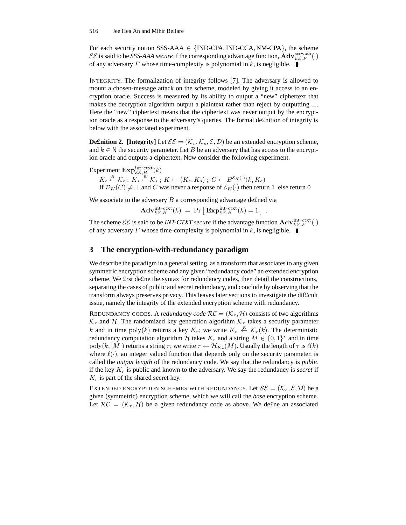For each security notion SSS-AAA  $\in \{IND-CPA, IND-CCA, NM-CPA\}$ , the scheme EE is said to be *SSS-AAA secure* if the corresponding advantage function,  $\mathbf{Adv}_{\mathcal{EE},F}^{\text{sssa-aaa}}(\cdot)$ of any adversary F whose time-complexity is polynomial in  $k$ , is negligible.

INTEGRITY. The formalization of integrity follows [7]. The adversary is allowed to mount a chosen-message attack on the scheme, modeled by giving it access to an encryption oracle. Success is measured by its ability to output a "new" ciphertext that makes the decryption algorithm output a plaintext rather than reject by outputting  $\bot$ . Here the "new" ciphertext means that the ciphertext was never output by the encryption oracle as a response to the adversary's queries. The formal de£nition of integrity is below with the associated experiment.

**Definition 2. [Integrity]** Let  $\mathcal{E}\mathcal{E} = (\mathcal{K}_c, \mathcal{K}_s, \mathcal{E}, \mathcal{D})$  be an extended encryption scheme, and  $k \in \mathbb{N}$  the security parameter. Let B be an adversary that has access to the encryption oracle and outputs a ciphertext. Now consider the following experiment.

Experiment  $\mathbf{Exp}_{\mathcal{E}\mathcal{E},B}^{\text{int-ctxt}}(k)$ 

 $K_c \stackrel{R}{\leftarrow} \mathcal{K}_c$ ;  $K_s \stackrel{R}{\leftarrow} \mathcal{K}_s$ ;  $K \leftarrow (K_c, K_s)$ ;  $C \leftarrow B^{\mathcal{E}_K(\cdot)}(k, K_c)$ If  $\mathcal{D}_K(C) \neq \bot$  and C was never a response of  $\mathcal{E}_K(\cdot)$  then return 1 else return 0

We associate to the adversary  $B$  a corresponding advantage defined via

 $\mathbf{Adv}_{\mathcal{EE},B}^{\text{int-ctxt}}(k) = \Pr \left[ \mathbf{Exp}_{\mathcal{EE},B}^{\text{int-ctxt}}(k) = 1 \right].$ 

The scheme  $\mathcal{EE}$  is said to be *INT-CTXT secure* if the advantage function  $\mathbf{Adv}_{\mathcal{EE},F}^{\text{int-ctxt}}(\cdot)$ of any adversary  $F$  whose time-complexity is polynomial in  $k$ , is negligible.

## **3 The encryption-with-redundancy paradigm**

We describe the paradigm in a general setting, as a transform that associates to any given symmetric encryption scheme and any given "redundancy code" an extended encryption scheme. We £rst de£ne the syntax for redundancy codes, then detail the constructions, separating the cases of public and secret redundancy, and conclude by observing that the transform always preserves privacy. This leaves later sections to investigate the dif£cult issue, namely the integrity of the extended encryption scheme with redundancy.

REDUNDANCY CODES. A *redundancy code*  $\mathcal{RC} = (\mathcal{K}_r, \mathcal{H})$  consists of two algorithms  $\mathcal{K}_r$  and  $\mathcal{H}$ . The randomized key generation algorithm  $\mathcal{K}_r$  takes a security parameter k and in time  $\text{poly}(k)$  returns a key  $K_r$ ; we write  $K_r \overset{R}{\leftarrow} \mathcal{K}_r(k)$ . The deterministic redundancy computation algorithm H takes  $K_r$  and a string  $M \in \{0,1\}^*$  and in time  $\text{poly}(k,|M|)$  returns a string  $\tau;$  we write  $\tau \leftarrow \mathcal{H}_{K_r}(M)$ . Usually the length of  $\tau$  is  $\ell(k)$ where  $\ell(\cdot)$ , an integer valued function that depends only on the security parameter, is called the *output length* of the redundancy code. We say that the redundancy is *public* if the key  $K_r$  is public and known to the adversary. We say the redundancy is *secret* if  $K_r$  is part of the shared secret key.

EXTENDED ENCRYPTION SCHEMES WITH REDUNDANCY. Let  $\mathcal{SE} = (\mathcal{K}_e, \mathcal{E}, \mathcal{D})$  be a given (symmetric) encryption scheme, which we will call the *base* encryption scheme. Let  $RC = (K_r, H)$  be a given redundancy code as above. We define an associated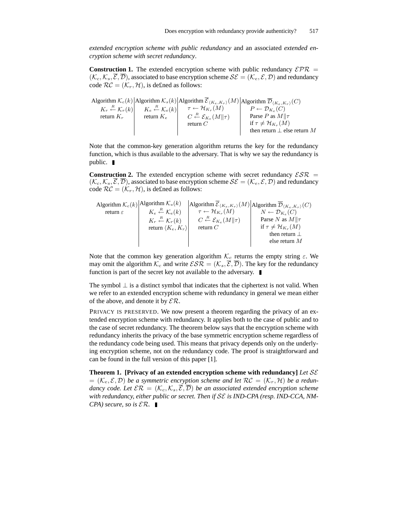*extended encryption scheme with public redundancy* and an associated *extended encryption scheme with secret redundancy*.

**Construction 1.** The extended encryption scheme with public redundancy  $\mathcal{EPR} =$  $(\mathcal{K}_c, \mathcal{K}_s, \overline{\mathcal{E}}, \overline{\mathcal{D}})$ , associated to base encryption scheme  $\mathcal{SE} = (\mathcal{K}_e, \mathcal{E}, \mathcal{D})$  and redundancy code  $\mathcal{RC} = (\mathcal{K}_r, \mathcal{H})$ , is defined as follows:

Algorithm 
$$
K_c(k)
$$
 Algorithm  $\mathcal{E}_s(k)$  Algorithm  $\overline{\mathcal{E}}_{K_c,K_r}(M)$  Algorithm  $\overline{\mathcal{E}}_{K_c,K_r}(M)$  Algorithm  $\overline{\mathcal{E}}_{K_c,K_r}(C)$   
\nreturn  $K_r$  return  $K_e$   $C \stackrel{R}{\leftarrow} \mathcal{E}_{K_e}(M||\tau)$   $P \leftarrow \mathcal{D}_{K_e}(C)$   
\nreturn  $K_c$  return  $C$ 

Note that the common-key generation algorithm returns the key for the redundancy function, which is thus available to the adversary. That is why we say the redundancy is public.  $\blacksquare$ 

**Construction 2.** The extended encryption scheme with secret redundancy  $\mathcal{ESR}$  =  $(\mathcal{K}_c, \mathcal{K}_s, \overline{\mathcal{E}}, \overline{\mathcal{D}})$ , associated to base encryption scheme  $\mathcal{SE} = (\mathcal{K}_e, \mathcal{E}, \mathcal{D})$  and redundancy code  $\mathcal{RC} = (\mathcal{K}_r, \mathcal{H})$ , is defined as follows:

Algorithm 
$$
\mathcal{K}_c(k)
$$
  
\nreturn  $\varepsilon$   
\nreturn  $\varepsilon$   
\n $K_e \stackrel{R}{\leftarrow} \mathcal{K}_e(k)$   
\n $K_r \stackrel{R}{\leftarrow} \mathcal{K}_e(k)$   
\nreturn  $\langle K_e, K_r \rangle$   
\nreturn  $\langle K_e, K_r \rangle$   
\nreturn  $\langle K_e, K_r \rangle$   
\nreturn  $\langle K_e, K_r \rangle$   
\nreturn  $\langle K_e, K_r \rangle$   
\nreturn  $C$   
\n $\downarrow$   
\n $\downarrow$   
\n $\downarrow$   
\nHgorithm  $\overline{\mathcal{L}}_{\langle K_e, K_r \rangle}(M)$   
\n $N \leftarrow \mathcal{D}_{K_e}(C)$   
\nParse N as  $M || \tau$   
\nthen return  $\bot$   
\nelse return  $M$ 

Note that the common key generation algorithm  $K_c$  returns the empty string  $\varepsilon$ . We may omit the algorithm  $\mathcal{K}_c$  and write  $\mathcal{ESR} = (\mathcal{K}_s, \overline{\mathcal{E}}, \overline{\mathcal{D}})$ . The key for the redundancy function is part of the secret key not available to the adversary.

The symbol  $\perp$  is a distinct symbol that indicates that the ciphertext is not valid. When we refer to an extended encryption scheme with redundancy in general we mean either of the above, and denote it by  $\mathcal{ER}$ .

PRIVACY IS PRESERVED. We now present a theorem regarding the privacy of an extended encryption scheme with redundancy. It applies both to the case of public and to the case of secret redundancy. The theorem below says that the encryption scheme with redundancy inherits the privacy of the base symmetric encryption scheme regardless of the redundancy code being used. This means that privacy depends only on the underlying encryption scheme, not on the redundancy code. The proof is straightforward and can be found in the full version of this paper [1].

**Theorem 1.** [Privacy of an extended encryption scheme with redundancy] Let  $\mathcal{S}\mathcal{E}$  $=$   $(\mathcal{K}_e, \mathcal{E}, \mathcal{D})$  *be a symmetric encryption scheme and let*  $\mathcal{RC} = (\mathcal{K}_r, \mathcal{H})$  *be a redundancy code.* Let  $\mathcal{ER} = (K_c, K_s, \overline{\mathcal{E}}, \overline{\mathcal{D}})$  *be an associated extended encryption scheme with redundancy, either public or secret. Then if* SE *is IND-CPA (resp. IND-CCA, NM-CPA*) *secure, so is*  $\mathcal{ER}$ .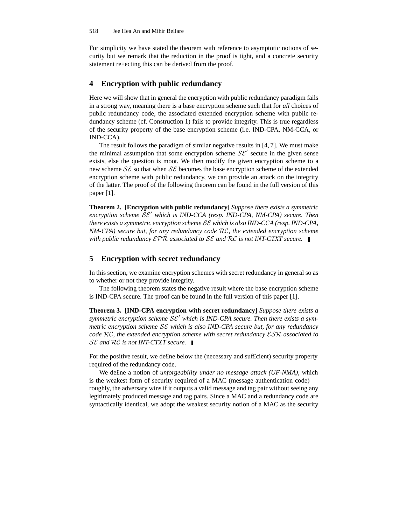For simplicity we have stated the theorem with reference to asymptotic notions of security but we remark that the reduction in the proof is tight, and a concrete security statement re¤ecting this can be derived from the proof.

# **4 Encryption with public redundancy**

Here we will show that in general the encryption with public redundancy paradigm fails in a strong way, meaning there is a base encryption scheme such that for *all* choices of public redundancy code, the associated extended encryption scheme with public redundancy scheme (cf. Construction 1) fails to provide integrity. This is true regardless of the security property of the base encryption scheme (i.e. IND-CPA, NM-CCA, or IND-CCA).

The result follows the paradigm of similar negative results in [4, 7]. We must make the minimal assumption that some encryption scheme  $\mathcal{SE}'$  secure in the given sense exists, else the question is moot. We then modify the given encryption scheme to a new scheme  $\mathcal{S}\mathcal{E}$  so that when  $\mathcal{S}\mathcal{E}$  becomes the base encryption scheme of the extended encryption scheme with public redundancy, we can provide an attack on the integrity of the latter. The proof of the following theorem can be found in the full version of this paper [1].

**Theorem 2. [Encryption with public redundancy]** *Suppose there exists a symmetric encryption scheme* SE <sup>0</sup> *which is IND-CCA (resp. IND-CPA, NM-CPA) secure. Then there exists a symmetric encryption scheme* SE *which is also IND-CCA (resp. IND-CPA, NM-CPA) secure but, for any redundancy code* RC*, the extended encryption scheme with public redundancy* EPR *associated to* SE *and* RC *is not INT-CTXT secure.*

# **5 Encryption with secret redundancy**

In this section, we examine encryption schemes with secret redundancy in general so as to whether or not they provide integrity.

The following theorem states the negative result where the base encryption scheme is IND-CPA secure. The proof can be found in the full version of this paper [1].

**Theorem 3. [IND-CPA encryption with secret redundancy]** *Suppose there exists a symmetric encryption scheme* SE <sup>0</sup> *which is IND-CPA secure. Then there exists a symmetric encryption scheme* SE *which is also IND-CPA secure but, for any redundancy code* RC*, the extended encryption scheme with secret redundancy* ESR *associated to* SE *and* RC *is not INT-CTXT secure.*

For the positive result, we de£ne below the (necessary and suf£cient) security property required of the redundancy code.

We de£ne a notion of *unforgeability under no message attack (UF-NMA)*, which is the weakest form of security required of a MAC (message authentication code) roughly, the adversary wins if it outputs a valid message and tag pair without seeing any legitimately produced message and tag pairs. Since a MAC and a redundancy code are syntactically identical, we adopt the weakest security notion of a MAC as the security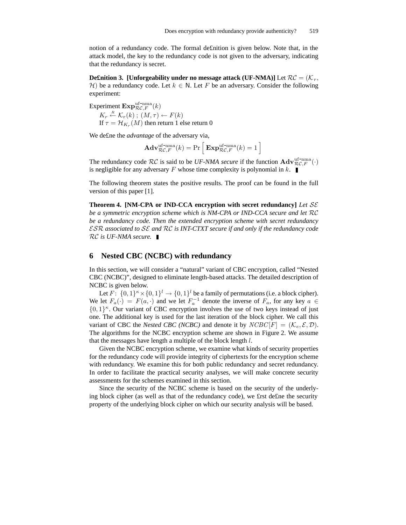notion of a redundancy code. The formal de£nition is given below. Note that, in the attack model, the key to the redundancy code is not given to the adversary, indicating that the redundancy is secret.

**Definition 3.** [Unforgeability under no message attack (UF-NMA)] Let  $RC = (K_r, K_r)$ H) be a redundancy code. Let  $k \in \mathbb{N}$ . Let F be an adversary. Consider the following experiment:

Experiment  $\mathbf{Exp}_{\mathcal{RC},F}^{\text{uf-nma}}(k)$  $K_r \stackrel{R}{\leftarrow} \mathcal{K}_r(k)$ ;  $(M, \tau) \leftarrow F(k)$ If  $\tau = \mathcal{H}_{K_r}(M)$  then return 1 else return 0

We de£ne the *advantage* of the adversary via,

$$
\mathbf{Adv}_{\mathcal{RC},F}^{\text{uf-nma}}(k) = \Pr\left[\mathbf{Exp}_{\mathcal{RC},F}^{\text{uf-nma}}(k) = 1\right]
$$

The redundancy code  $RC$  is said to be *UF-NMA secure* if the function  $\mathbf{Adv}_{RC,F}^{\text{uf-nma}}(\cdot)$ is negligible for any adversary F whose time complexity is polynomial in  $k$ .

The following theorem states the positive results. The proof can be found in the full version of this paper [1].

**Theorem 4. [NM-CPA or IND-CCA encryption with secret redundancy]** *Let* SE *be a symmetric encryption scheme which is NM-CPA or IND-CCA secure and let* RC *be a redundancy code. Then the extended encryption scheme with secret redundancy* ESR *associated to* SE *and* RC *is INT-CTXT secure if and only if the redundancy code* RC *is UF-NMA secure.*

## **6 Nested CBC (NCBC) with redundancy**

In this section, we will consider a "natural" variant of CBC encryption, called "Nested CBC (NCBC)", designed to eliminate length-based attacks. The detailed description of NCBC is given below.

Let  $F: \{0,1\}^k \times \{0,1\}^l \to \{0,1\}^l$  be a family of permutations (i.e. a block cipher). We let  $F_a(\cdot) = F(a, \cdot)$  and we let  $F_a^{-1}$  denote the inverse of  $F_a$ , for any key  $a \in$  $\{0,1\}^{\kappa}$ . Our variant of CBC encryption involves the use of two keys instead of just one. The additional key is used for the last iteration of the block cipher. We call this variant of CBC the *Nested CBC* (*NCBC*) and denote it by  $NCBC[F] = (\mathcal{K}_e, \mathcal{E}, \mathcal{D})$ . The algorithms for the NCBC encryption scheme are shown in Figure 2. We assume that the messages have length a multiple of the block length l.

Given the NCBC encryption scheme, we examine what kinds of security properties for the redundancy code will provide integrity of ciphertexts for the encryption scheme with redundancy. We examine this for both public redundancy and secret redundancy. In order to facilitate the practical security analyses, we will make concrete security assessments for the schemes examined in this section.

Since the security of the NCBC scheme is based on the security of the underlying block cipher (as well as that of the redundancy code), we £rst de£ne the security property of the underlying block cipher on which our security analysis will be based.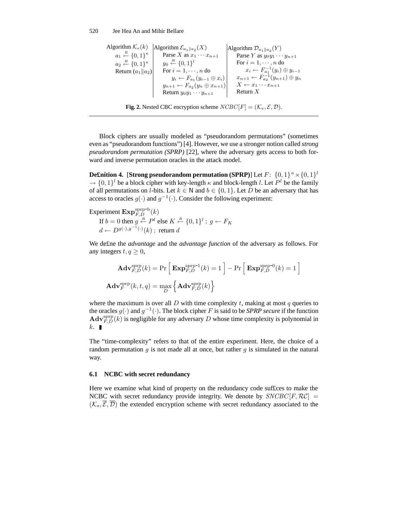Algorithm 
$$
K_e(k)
$$
  
\n $a_1 \stackrel{R}{\leftarrow} \{0,1\}^{\kappa}$   
\n $a_2 \stackrel{R}{\leftarrow} \{0,1\}^{\kappa}$   
\nReturn  $(a_1||a_2)$   
\n $y_0 \stackrel{R}{\leftarrow} \{0,1\}^l$   
\n $y_1 \leftarrow F_{a_1}(y_{i-1} \oplus x_i)$   
\n $y_i \leftarrow F_{a_1}(y_{i-1} \oplus x_i)$   
\n $y_i \leftarrow F_{a_2}(y_n \oplus x_{n+1})$   
\n $y_1 \leftarrow F_{a_2}(y_n \oplus x_{n+1})$   
\n $y_2 \leftarrow F_{a_1}(y_{i-1} \oplus x_i)$   
\n $y_{i+1} \leftarrow F_{a_2}(y_n \oplus x_{n+1})$   
\n $y_0 \downarrow y_1 \downarrow \cdots y_{n+1}$   
\n $y_1 \leftarrow y_n$   
\n $y_2 \leftarrow y_n$   
\n $y_3 \leftarrow y_{n+1}$   
\n $y_1 \leftarrow y_n$   
\n $y_2 \leftarrow y_n$   
\n $y_3 \leftarrow y_{n+1}$   
\n $y_1 \leftarrow y_n$   
\n $y_2 \leftarrow y_n$   
\n $y_3 \leftarrow y_n$   
\n $y_4 \leftarrow y_n$   
\n $y_5 \leftarrow y_n$   
\n $y_6 \leftarrow y_n$   
\n $y_7 \leftarrow y_n$   
\n $y_8 \leftarrow y_n$   
\n $y_9 \leftarrow y_n$   
\n $y_1 \leftarrow y_n$   
\n $y_2 \leftarrow y_n$   
\n $y_3 \leftarrow y_n$   
\n $y_4 \leftarrow y_n$   
\n $y_5 \leftarrow y_n$   
\n $y_6 \leftarrow y_n$   
\n $y_7 \leftarrow y_n$   
\n $y_8 \leftarrow y_n$   
\n $y_9 \leftarrow y_n$   
\n $y_9 \leftarrow y_n$   
\n $y_9 \leftarrow y_n$   
\n $y_9$ 

**Fig. 2.** Nested CBC encryption scheme 
$$
NCBC[F] = (K_e, \mathcal{E}, \mathcal{D}).
$$

Block ciphers are usually modeled as "pseudorandom permutations" (sometimes even as "pseudorandom functions") [4]. However, we use a stronger notion called *strong pseudorandom permutation (SPRP)* [22], where the adversary gets access to both forward and inverse permutation oracles in the attack model.

**De£nition 4.** [Strong pseudorandom permutation (SPRP)] Let  $F: \{0,1\}^\kappa \times \{0,1\}^l$  $\rightarrow$   $\{0,1\}$ <sup>l</sup> be a block cipher with key-length  $\kappa$  and block-length *l*. Let  $P<sup>l</sup>$  be the family of all permutations on *l*-bits. Let  $k \in \mathbb{N}$  and  $b \in \{0, 1\}$ . Let D be an adversary that has access to oracles  $g(\cdot)$  and  $g^{-1}(\cdot)$ . Consider the following experiment:

Experiment  $\mathbf{Exp}_{F,D}^{\text{sprp-b}}(k)$ 

If  $b = 0$  then  $g \stackrel{R}{\leftarrow} P^l$  else  $K \stackrel{R}{\leftarrow} \{0,1\}^l$ ;  $g \leftarrow F_K$  $d \leftarrow D^{g(\cdot),g^{-1}(\cdot)}(k)$  ; return  $d$ 

We de£ne the *advantage* and the *advantage function* of the adversary as follows. For any integers  $t, q \geq 0$ ,

$$
\mathbf{Adv}_{F,D}^{\text{sprp}}(k) = \Pr\left[\mathbf{Exp}_{F,D}^{\text{sprp-1}}(k) = 1\right] - \Pr\left[\mathbf{Exp}_{F,D}^{\text{sprp-0}}(k) = 1\right]
$$

$$
\mathbf{Adv}_{F}^{\text{sprp}}(k, t, q) = \max_{D} \left\{\mathbf{Adv}_{F,D}^{\text{sprp}}(k)\right\}
$$

where the maximum is over all  $D$  with time complexity  $t$ , making at most  $q$  queries to the oracles  $g(\cdot)$  and  $g^{-1}(\cdot)$ . The block cipher F is said to be *SPRP secure* if the function  $\mathbf{Adv}_{F,D}^{\text{srrp}}(k)$  is negligible for any adversary D whose time complexity is polynomial in  $k.$ 

The "time-complexity" refers to that of the entire experiment. Here, the choice of a random permutation  $g$  is not made all at once, but rather  $g$  is simulated in the natural way.

#### **6.1 NCBC with secret redundancy**

Here we examine what kind of property on the redundancy code suf£ces to make the NCBC with secret redundancy provide integrity. We denote by  $SNCBC[F, RC] =$  $(K_s, \overline{E}, \overline{D})$  the extended encryption scheme with secret redundancy associated to the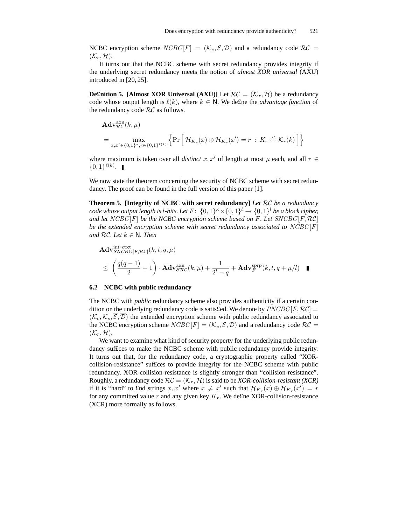NCBC encryption scheme  $NCBC[F] = (\mathcal{K}_e, \mathcal{E}, \mathcal{D})$  and a redundancy code  $\mathcal{RC} =$  $(\mathcal{K}_r, \mathcal{H}).$ 

It turns out that the NCBC scheme with secret redundancy provides integrity if the underlying secret redundancy meets the notion of *almost XOR universal* (AXU) introduced in [20, 25].

**Definition 5.** [Almost XOR Universal (AXU)] Let  $RC = (K_r, H)$  be a redundancy code whose output length is  $\ell(k)$ , where  $k \in \mathbb{N}$ . We define the *advantage* function of the redundancy code  $RC$  as follows.

$$
\mathbf{Adv}_{\mathcal{RC}}^{\text{axu}}(k,\mu)
$$
  
= 
$$
\max_{x,x' \in \{0,1\}^*, r \in \{0,1\}^{\ell(k)}} \left\{ \Pr \left[ \mathcal{H}_{K_r}(x) \oplus \mathcal{H}_{K_r}(x') = r : K_r \stackrel{R}{\leftarrow} \mathcal{K}_r(k) \right] \right\}
$$

where maximum is taken over all *distinct*  $x, x'$  of length at most  $\mu$  each, and all  $r \in$  $\{0,1\}^{\ell(k)}$ .

We now state the theorem concerning the security of NCBC scheme with secret redundancy. The proof can be found in the full version of this paper [1].

**Theorem 5. [Integrity of NCBC with secret redundancy]** *Let* RC *be a redundancy*  $code$  whose output length is l-bits. Let  $F\colon \{0,1\}^\kappa \times \{0,1\}^l \to \{0,1\}^l$  be a block cipher, *and let* NCBC [F] *be the NCBC encryption scheme based on* F*. Let* SNCBC [F, RC] *be the extended encryption scheme with secret redundancy associated to* NCBC [F] *and*  $RC$ *. Let*  $k \in \mathbb{N}$ *. Then* 

$$
\mathbf{Adv}_{SNCBC[F,RC]}^{\text{int-ctxt}}(k, t, q, \mu)
$$
\n
$$
\leq \left(\frac{q(q-1)}{2} + 1\right) \cdot \mathbf{Adv}_{SRC}^{\text{axu}}(k, \mu) + \frac{1}{2^l - q} + \mathbf{Adv}_F^{\text{sprp}}(k, t, q + \mu/l) \quad \blacksquare
$$

#### **6.2 NCBC with public redundancy**

The NCBC with *public* redundancy scheme also provides authenticity if a certain condition on the underlying redundancy code is satisfied. We denote by  $PNCBC$  [F,  $RC$ ] =  $(\mathcal{K}_c, \mathcal{K}_s, \overline{\mathcal{E}}, \overline{\mathcal{D}})$  the extended encryption scheme with public redundancy associated to the NCBC encryption scheme  $NCBC[F] = (\mathcal{K}_e, \mathcal{E}, \mathcal{D})$  and a redundancy code  $\mathcal{RC} =$  $(\mathcal{K}_r, \mathcal{H}).$ 

We want to examine what kind of security property for the underlying public redundancy suf£ces to make the NCBC scheme with public redundancy provide integrity. It turns out that, for the redundancy code, a cryptographic property called "XORcollision-resistance" suf£ces to provide integrity for the NCBC scheme with public redundancy. XOR-collision-resistance is slightly stronger than "collision-resistance". Roughly, a redundancy code  $\mathcal{RC} = (\mathcal{K}_r, \mathcal{H})$  is said to be *XOR-collision-resistant (XCR)* if it is "hard" to find strings  $x, x'$  where  $x \neq x'$  such that  $\mathcal{H}_{K_r}(x) \oplus \mathcal{H}_{K_r}(x') = r$ for any committed value r and any given key  $K_r$ . We define XOR-collision-resistance (XCR) more formally as follows.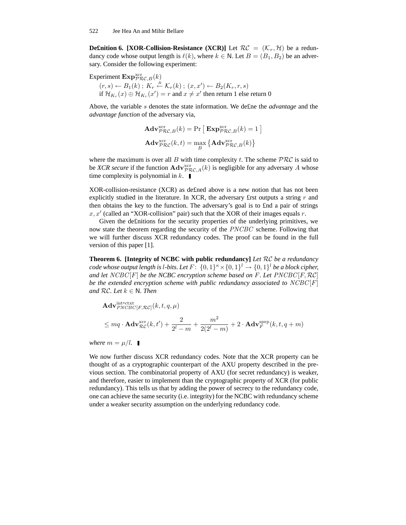**Definition 6. [XOR-Collision-Resistance (XCR)**] Let  $\mathcal{RC} = (\mathcal{K}_r, \mathcal{H})$  be a redundancy code whose output length is  $\ell(k)$ , where  $k \in \mathbb{N}$ . Let  $B = (B_1, B_2)$  be an adversary. Consider the following experiment:

Experiment  $\mathbf{Exp}_{\mathcal{PRC},B}^{\text{scr}}(k)$  $(r, s) \leftarrow B_1(k); K_r \stackrel{R}{\leftarrow} \mathcal{K}_r(k); (x, x') \leftarrow B_2(K_r, r, s)$ if  $\mathcal{H}_{K_r}(x) \oplus \mathcal{H}_{K_r}(x') = r$  and  $x \neq x'$  then return 1 else return 0

Above, the variable s denotes the state information. We de£ne the *advantage* and the *advantage function* of the adversary via,

$$
\mathbf{Adv}_{\mathcal{PRC},B}^{\text{scr}}(k) = \Pr\left[\mathbf{Exp}_{\mathcal{PRC},B}^{\text{scr}}(k) = 1\right]
$$

$$
\mathbf{Adv}_{\mathcal{PRC}}^{\text{scr}}(k,t) = \max_{B} \left\{\mathbf{Adv}_{\mathcal{PRC},B}^{\text{scr}}(k)\right\}
$$

where the maximum is over all B with time complexity t. The scheme  $\mathcal{PRC}$  is said to be *XCR* secure if the function  $\mathbf{Adv}_{\mathcal{PRC},A}^{\text{scr}}(k)$  is negligible for any adversary A whose time complexity is polynomial in  $k$ .

XOR-collision-resistance (XCR) as de£ned above is a new notion that has not been explicitly studied in the literature. In XCR, the adversary £rst outputs a string  $r$  and then obtains the key to the function. The adversary's goal is to £nd a pair of strings  $x, x'$  (called an "XOR-collision" pair) such that the XOR of their images equals r.

Given the de£nitions for the security properties of the underlying primitives, we now state the theorem regarding the security of the PNCBC scheme. Following that we will further discuss XCR redundancy codes. The proof can be found in the full version of this paper [1].

**Theorem 6. [Integrity of NCBC with public redundancy]** *Let* RC *be a redundancy*  $code$  whose output length is l-bits. Let  $F\colon \{0,1\}^\kappa \times \{0,1\}^l \to \{0,1\}^l$  be a block cipher, *and let* NCBC [F] *be the NCBC encryption scheme based on* F*. Let* PNCBC [F, RC] *be the extended encryption scheme with public redundancy associated to* NCBC [F] *and*  $RC$ *. Let*  $k \in \mathbb{N}$ *. Then* 

$$
\mathbf{Adv}_{PNCBC}^{\text{int-ctxt}}(k, t, q, \mu)
$$
  
\n
$$
\leq mq \cdot \mathbf{Adv}_{RC}^{\text{scr}}(k, t') + \frac{2}{2^l - m} + \frac{m^2}{2(2^l - m)} + 2 \cdot \mathbf{Adv}_{F}^{\text{sprp}}(k, t, q + m)
$$

*where*  $m = \mu/l$ .

We now further discuss XCR redundancy codes. Note that the XCR property can be thought of as a cryptographic counterpart of the AXU property described in the previous section. The combinatorial property of AXU (for secret redundancy) is weaker, and therefore, easier to implement than the cryptographic property of XCR (for public redundancy). This tells us that by adding the power of secrecy to the redundancy code, one can achieve the same security (i.e. integrity) for the NCBC with redundancy scheme under a weaker security assumption on the underlying redundancy code.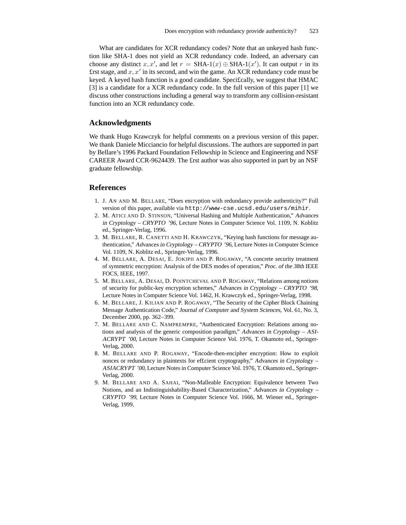What are candidates for XCR redundancy codes? Note that an unkeyed hash function like SHA-1 does not yield an XCR redundancy code. Indeed, an adversary can choose any distinct x, x', and let  $r = SHA-1(x) \oplus SHA-1(x')$ . It can output r in its £rst stage, and  $x, x'$  in its second, and win the game. An XCR redundancy code must be keyed. A keyed hash function is a good candidate. Speci£cally, we suggest that HMAC [3] is a candidate for a XCR redundancy code. In the full version of this paper [1] we discuss other constructions including a general way to transform any collision-resistant function into an XCR redundancy code.

# **Acknowledgments**

We thank Hugo Krawczyk for helpful comments on a previous version of this paper. We thank Daniele Micciancio for helpful discussions. The authors are supported in part by Bellare's 1996 Packard Foundation Fellowship in Science and Engineering and NSF CAREER Award CCR-9624439. The £rst author was also supported in part by an NSF graduate fellowship.

### **References**

- 1. J. AN AND M. BELLARE, "Does encryption with redundancy provide authenticity?" Full version of this paper, available via http://www-cse.ucsd.edu/users/mihir.
- 2. M. ATICI AND D. STINSON, "Universal Hashing and Multiple Authentication," Advances in Cryptology – CRYPTO '96, Lecture Notes in Computer Science Vol. 1109, N. Koblitz ed., Springer-Verlag, 1996.
- 3. M. BELLARE, R. CANETTI AND H. KRAWCZYK, "Keying hash functions for message authentication," Advances in Cryptology – CRYPTO '96, Lecture Notes in Computer Science Vol. 1109, N. Koblitz ed., Springer-Verlag, 1996.
- 4. M. BELLARE, A. DESAI, E. JOKIPII AND P. ROGAWAY, "A concrete security treatment of symmetric encryption: Analysis of the DES modes of operation," Proc. of the 38th IEEE FOCS, IEEE, 1997.
- 5. M. BELLARE, A. DESAI, D. POINTCHEVAL AND P. ROGAWAY, "Relations among notions of security for public-key encryption schemes," Advances in Cryptology – CRYPTO '98, Lecture Notes in Computer Science Vol. 1462, H. Krawczyk ed., Springer-Verlag, 1998.
- 6. M. BELLARE, J. KILIAN AND P. ROGAWAY, "The Security of the Cipher Block Chaining Message Authentication Code," Journal of Computer and System Sciences, Vol. 61, No. 3, December 2000, pp. 362–399.
- 7. M. BELLARE AND C. NAMPREMPRE, "Authenticated Encryption: Relations among notions and analysis of the generic composition paradigm," Advances in Cryptology – ASI-ACRYPT '00, Lecture Notes in Computer Science Vol. 1976, T. Okamoto ed., Springer-Verlag, 2000.
- 8. M. BELLARE AND P. ROGAWAY, "Encode-then-encipher encryption: How to exploit nonces or redundancy in plaintexts for ef£cient cryptography," Advances in Cryptology – ASIACRYPT '00, Lecture Notes in Computer Science Vol. 1976, T. Okamoto ed., Springer-Verlag, 2000.
- 9. M. BELLARE AND A. SAHAI, "Non-Malleable Encryption: Equivalence between Two Notions, and an Indistinguishability-Based Characterization," Advances in Cryptology – CRYPTO '99, Lecture Notes in Computer Science Vol. 1666, M. Wiener ed., Springer-Verlag, 1999.